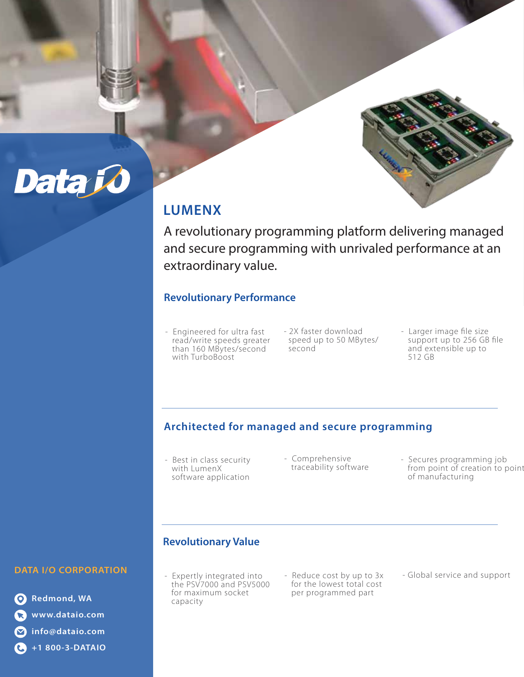

## **LUMENX**

A revolutionary programming platform delivering managed and secure programming with unrivaled performance at an extraordinary value.

## **Revolutionary Performance**

- Engineered for ultra fast read/write speeds greater than 160 MBytes/second with TurboBoost
- 2X faster download speed up to 50 MBytes/ second
- Larger image file size support up to 256 GB file and extensible up to 512 GB

## **Architected for managed and secure programming**

- Best in class security with LumenX software application
- Comprehensive
- traceability software Secures programming job from point of creation to point of manufacturing

## **Revolutionary Value**

- Expertly integrated into the PSV7000 and PSV5000 for maximum socket capacity
- Reduce cost by up to 3x for the lowest total cost per programmed part

- Global service and support

**DATA I/O CORPORATION** 

Data Jo

**Redmond, WA www.dataio.com info@dataio.com +1 800-3-DATAIO**